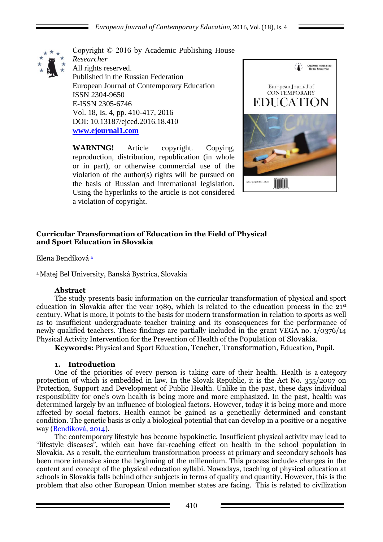

Copyright © 2016 by Academic Publishing House *Researcher* All rights reserved. Published in the Russian Federation European Journal of Contemporary Education ISSN 2304-9650 E-ISSN 2305-6746 Vol. 18, Is. 4, pp. 410-417, 2016 DOI: 10.13187/ejced.2016.18.410 **[www.ejournal1.com](http://www.ejournal1.com/)**

**WARNING!** Article copyright. Copying, reproduction, distribution, republication (in whole or in part), or otherwise commercial use of the violation of the author(s) rights will be pursued on the basis of Russian and international legislation. Using the hyperlinks to the article is not considered a violation of copyright.



# **Curricular Transformation of Education in the Field of Physical and Sport Education in Slovakia**

Elena Bendíková <sup>a</sup>

<sup>a</sup>Matej Bel University, Banská Bystrica, Slovakia

#### **Abstract**

The study presents basic information on the curricular transformation of physical and sport education in Slovakia after the year 1989, which is related to the education process in the  $21<sup>st</sup>$ century. What is more, it points to the basis for modern transformation in relation to sports as well as to insufficient undergraduate teacher training and its consequences for the performance of newly qualified teachers. These findings are partially included in the grant VEGA no. 1/0376/14 Physical Activity Intervention for the Prevention of Health of the Population of Slovakia.

**Keywords:** Physical and Sport Education, Teacher, Transformation, Education, Pupil.

### **1. Introduction**

One of the priorities of every person is taking care of their health. Health is a category protection of which is embedded in law. In the Slovak Republic, it is the Act No. 355/2007 on Protection, Support and Development of Public Health. Unlike in the past, these days individual responsibility for one's own health is being more and more emphasized. In the past, health was determined largely by an influence of biological factors. However, today it is being more and more affected by social factors. Health cannot be gained as a genetically determined and constant condition. The genetic basis is only a biological potential that can develop in a positive or a negative way (Bendíková, 2014).

The contemporary lifestyle has become hypokinetic. Insufficient physical activity may lead to "lifestyle diseases", which can have far-reaching effect on health in the school population in Slovakia. As a result, the curriculum transformation process at primary and secondary schools has been more intensive since the beginning of the millennium. This process includes changes in the content and concept of the physical education syllabi. Nowadays, teaching of physical education at schools in Slovakia falls behind other subjects in terms of quality and quantity. However, this is the problem that also other European Union member states are facing. This is related to civilization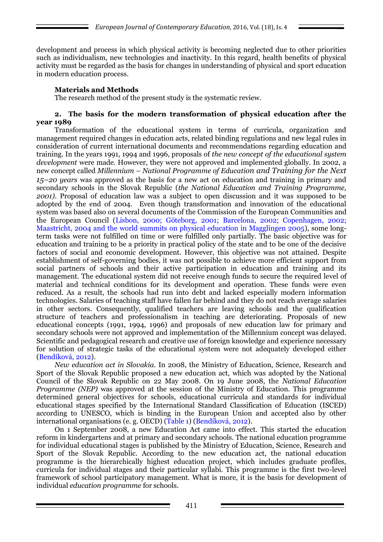development and process in which physical activity is becoming neglected due to other priorities such as individualism, new technologies and inactivity. In this regard, health benefits of physical activity must be regarded as the basis for changes in understanding of physical and sport education in modern education process.

## **Materials and Methods**

The research method of the present study is the systematic review.

#### **2. The basis for the modern transformation of physical education after the year 1989**

Transformation of the educational system in terms of curricula, organization and management required changes in education acts, related binding regulations and new legal rules in consideration of current international documents and recommendations regarding education and training. In the years 1991, 1994 and 1996, proposals of *the new concept of the educational system development* were made. However, they were not approved and implemented globally. In 2002, a new concept called *Millennium – National Programme of Education and Training for the Next 15–20 years* was approved as the basis for a new act on education and training in primary and secondary schools in the Slovak Republic (*the National Education and Training Programme, 2001).* Proposal of education law was a subject to open discussion and it was supposed to be adopted by the end of 2004. Even though transformation and innovation of the educational system was based also on several documents of the Commission of the European Communities and the European Council (Lisbon, 2000; Göteborg, 2001; Barcelona, 2002; Copenhagen, 2002; Maastricht, 2004 and the world summits on physical education in Magglingen 2005), some longterm tasks were not fulfilled on time or were fulfilled only partially. The basic objective was for education and training to be a priority in practical policy of the state and to be one of the decisive factors of social and economic development. However, this objective was not attained. Despite establishment of self-governing bodies, it was not possible to achieve more efficient support from social partners of schools and their active participation in education and training and its management. The educational system did not receive enough funds to secure the required level of material and technical conditions for its development and operation. These funds were even reduced. As a result, the schools had run into debt and lacked especially modern information technologies. Salaries of teaching staff have fallen far behind and they do not reach average salaries in other sectors. Consequently, qualified teachers are leaving schools and the qualification structure of teachers and professionalism in teaching are deteriorating. Proposals of new educational concepts (1991, 1994, 1996) and proposals of new education law for primary and secondary schools were not approved and implementation of the Millennium concept was delayed. Scientific and pedagogical research and creative use of foreign knowledge and experience necessary for solution of strategic tasks of the educational system were not adequately developed either (Bendíková, 2012).

*New education act in Slovakia.* In 2008, the Ministry of Education, Science, Research and Sport of the Slovak Republic proposed a new education act, which was adopted by the National Council of the Slovak Republic on 22 May 2008. On 19 June 2008, the *National Education Programme (NEP)* was approved at the session of the Ministry of Education. This programme determined general objectives for schools, educational curricula and standards for individual educational stages specified by the International Standard Classification of Education (ISCED) according to UNESCO, which is binding in the European Union and accepted also by other international organisations (e. g. OECD) (Table 1) (Bendíková, 2012).

On 1 September 2008, a new Education Act came into effect. This started the education reform in kindergartens and at primary and secondary schools. The national education programme for individual educational stages is published by the Ministry of Education, Science, Research and Sport of the Slovak Republic. According to the new education act, the national education programme is the hierarchically highest education project, which includes graduate profiles, curricula for individual stages and their particular syllabi. This programme is the first two-level framework of school participatory management. What is more, it is the basis for development of individual *education programme* for schools.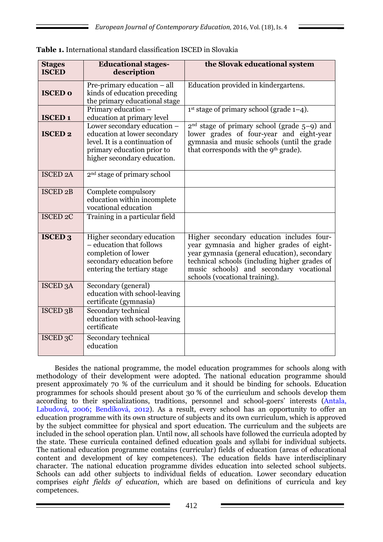| <b>Stages</b><br><b>ISCED</b> | <b>Educational stages-</b><br>description                                                                                                                  | the Slovak educational system                                                                                                                                                                                                                                        |  |
|-------------------------------|------------------------------------------------------------------------------------------------------------------------------------------------------------|----------------------------------------------------------------------------------------------------------------------------------------------------------------------------------------------------------------------------------------------------------------------|--|
| <b>ISCED 0</b>                | Pre-primary education - all<br>kinds of education preceding<br>the primary educational stage                                                               | Education provided in kindergartens.                                                                                                                                                                                                                                 |  |
| <b>ISCED1</b>                 | Primary education -<br>education at primary level                                                                                                          | $1st$ stage of primary school (grade $1-4$ ).                                                                                                                                                                                                                        |  |
| <b>ISCED 2</b>                | Lower secondary education -<br>education at lower secondary<br>level. It is a continuation of<br>primary education prior to<br>higher secondary education. | $2nd$ stage of primary school (grade $5-9$ ) and<br>lower grades of four-year and eight-year<br>gymnasia and music schools (until the grade<br>that corresponds with the 9 <sup>th</sup> grade).                                                                     |  |
| <b>ISCED 2A</b>               | 2 <sup>nd</sup> stage of primary school                                                                                                                    |                                                                                                                                                                                                                                                                      |  |
| ISCED <sub>2B</sub>           | Complete compulsory<br>education within incomplete<br>vocational education                                                                                 |                                                                                                                                                                                                                                                                      |  |
| <b>ISCED 2C</b>               | Training in a particular field                                                                                                                             |                                                                                                                                                                                                                                                                      |  |
| <b>ISCED 3</b>                | Higher secondary education<br>- education that follows<br>completion of lower<br>secondary education before<br>entering the tertiary stage                 | Higher secondary education includes four-<br>year gymnasia and higher grades of eight-<br>year gymnasia (general education), secondary<br>technical schools (including higher grades of<br>music schools) and secondary vocational<br>schools (vocational training). |  |
| ISCED <sub>3</sub> A          | Secondary (general)<br>education with school-leaving<br>certificate (gymnasia)                                                                             |                                                                                                                                                                                                                                                                      |  |
| ISCED <sub>3</sub> B          | Secondary technical<br>education with school-leaving<br>certificate                                                                                        |                                                                                                                                                                                                                                                                      |  |
| ISCED <sub>3</sub> C          | Secondary technical<br>education                                                                                                                           |                                                                                                                                                                                                                                                                      |  |

|  |  |  |  | <b>Table 1.</b> International standard classification ISCED in Slovakia |  |  |
|--|--|--|--|-------------------------------------------------------------------------|--|--|
|--|--|--|--|-------------------------------------------------------------------------|--|--|

Besides the national programme, the model education programmes for schools along with methodology of their development were adopted. The national education programme should present approximately 70 % of the curriculum and it should be binding for schools. Education programmes for schools should present about 30 % of the curriculum and schools develop them according to their specializations, traditions, personnel and school-goers' interests (Antala, Labudová, 2006; Bendíková, 2012). As a result, every school has an opportunity to offer an education programme with its own structure of subjects and its own curriculum, which is approved by the subject committee for physical and sport education. The curriculum and the subjects are included in the school operation plan. Until now, all schools have followed the curricula adopted by the state. These curricula contained defined education goals and syllabi for individual subjects. The national education programme contains (curricular) fields of education (areas of educational content and development of key competences). The education fields have interdisciplinary character. The national education programme divides education into selected school subjects. Schools can add other subjects to individual fields of education. Lower secondary education comprises *eight fields of* e*ducation*, which are based on definitions of curricula and key competences.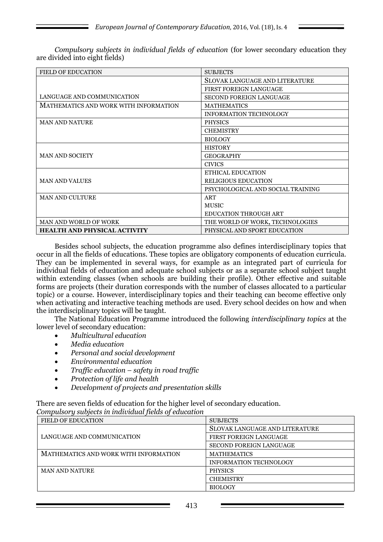| <b>FIELD OF EDUCATION</b>             | <b>SUBJECTS</b>                   |  |
|---------------------------------------|-----------------------------------|--|
|                                       | SLOVAK LANGUAGE AND LITERATURE    |  |
|                                       | <b>FIRST FOREIGN LANGUAGE</b>     |  |
| LANGUAGE AND COMMUNICATION            | <b>SECOND FOREIGN LANGUAGE</b>    |  |
| MATHEMATICS AND WORK WITH INFORMATION | <b>MATHEMATICS</b>                |  |
|                                       | <b>INFORMATION TECHNOLOGY</b>     |  |
| <b>MAN AND NATURE</b>                 | <b>PHYSICS</b>                    |  |
|                                       | <b>CHEMISTRY</b>                  |  |
|                                       | <b>BIOLOGY</b>                    |  |
|                                       | <b>HISTORY</b>                    |  |
| <b>MAN AND SOCIETY</b>                | <b>GEOGRAPHY</b>                  |  |
|                                       | <b>CIVICS</b>                     |  |
|                                       | <b>ETHICAL EDUCATION</b>          |  |
| <b>MAN AND VALUES</b>                 | <b>RELIGIOUS EDUCATION</b>        |  |
|                                       | PSYCHOLOGICAL AND SOCIAL TRAINING |  |
| <b>MAN AND CULTURE</b>                | ART                               |  |
|                                       | <b>MUSIC</b>                      |  |
|                                       | <b>EDUCATION THROUGH ART</b>      |  |
| <b>MAN AND WORLD OF WORK</b>          | THE WORLD OF WORK, TECHNOLOGIES   |  |
| <b>HEALTH AND PHYSICAL ACTIVITY</b>   | PHYSICAL AND SPORT EDUCATION      |  |

*Compulsory subjects in individual fields of education* (for lower secondary education they are divided into eight fields)

Besides school subjects, the education programme also defines interdisciplinary topics that occur in all the fields of educations. These topics are obligatory components of education curricula. They can be implemented in several ways, for example as an integrated part of curricula for individual fields of education and adequate school subjects or as a separate school subject taught within extending classes (when schools are building their profile). Other effective and suitable forms are projects (their duration corresponds with the number of classes allocated to a particular topic) or a course. However, interdisciplinary topics and their teaching can become effective only when activating and interactive teaching methods are used. Every school decides on how and when the interdisciplinary topics will be taught.

The National Education Programme introduced the following *interdisciplinary topics* at the lower level of secondary education:

- *Multicultural education*
- *Media education*
- *Personal and social development*
- *Environmental education*
- *Traffic education – safety in road traffic*
- *Protection of life and health*
- *Development of projects and presentation skills*

There are seven fields of education for the higher level of secondary education. *Compulsory subjects in individual fields of education* 

| <b>FIELD OF EDUCATION</b>             | <b>SUBJECTS</b>                       |
|---------------------------------------|---------------------------------------|
|                                       | <b>SLOVAK LANGUAGE AND LITERATURE</b> |
| LANGUAGE AND COMMUNICATION            | <b>FIRST FOREIGN LANGUAGE</b>         |
|                                       | <b>SECOND FOREIGN LANGUAGE</b>        |
| MATHEMATICS AND WORK WITH INFORMATION | <b>MATHEMATICS</b>                    |
|                                       | <b>INFORMATION TECHNOLOGY</b>         |
| <b>MAN AND NATURE</b>                 | <b>PHYSICS</b>                        |
|                                       | <b>CHEMISTRY</b>                      |
|                                       | <b>BIOLOGY</b>                        |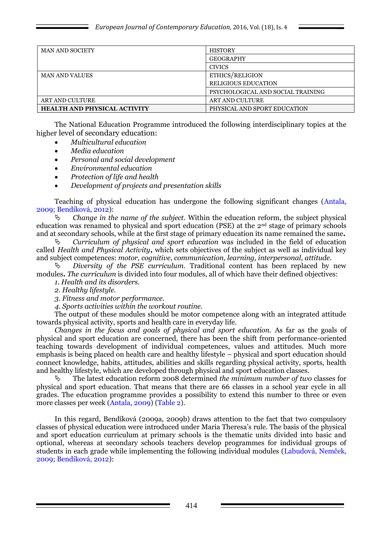| <b>MAN AND SOCIETY</b>              | <b>HISTORY</b>                    |  |
|-------------------------------------|-----------------------------------|--|
|                                     | <b>GEOGRAPHY</b>                  |  |
|                                     | <b>CIVICS</b>                     |  |
| <b>MAN AND VALUES</b>               | ETHICS/RELIGION                   |  |
|                                     | <b>RELIGIOUS EDUCATION</b>        |  |
|                                     | PSYCHOLOGICAL AND SOCIAL TRAINING |  |
| <b>ART AND CULTURE</b>              | ART AND CULTURE                   |  |
| <b>HEALTH AND PHYSICAL ACTIVITY</b> | PHYSICAL AND SPORT EDUCATION      |  |

The National Education Programme introduced the following interdisciplinary topics at the higher level of secondary education:

- *Multicultural education*
- *Media education*
- *Personal and social development*
- *Environmental education*
- *Protection of life and health*
- *Development of projects and presentation skills*

Teaching of physical education has undergone the following significant changes (Antala, 2009; Bendíková, 2012):

 *Change in the name of the subject.* Within the education reform, the subject physical education was renamed to physical and sport education (PSE) at the 2nd stage of primary schools and at secondary schools, while at the first stage of primary education its name remained the same**.**

 *Curriculum of physical and sport education* was included in the field of education called *Health and Physical Activity***,** which sets objectives of the subject as well as individual key and subject competences: *motor, cognitive, communication, learning, interpersonal, attitude.* 

 *Diversity of the PSE curriculum.* Traditional content has been replaced by new modules**.** *The curriculum* is divided into four modules, all of which have their defined objectives:

*1. Health and its disorders.* 

*2. Healthy lifestyle.* 

*3. Fitness and motor performance.*

*4. Sports activities within the workout routine.*

The output of these modules should be motor competence along with an integrated attitude towards physical activity, sports and health care in everyday life.

*Changes in the focus and goals of physical and sport education.* As far as the goals of physical and sport education are concerned, there has been the shift from performance-oriented teaching towards development of individual competences, values and attitudes. Much more emphasis is being placed on health care and healthy lifestyle – physical and sport education should connect knowledge, habits, attitudes, abilities and skills regarding physical activity, sports, health and healthy lifestyle, which are developed through physical and sport education classes.

 The latest education reform 2008 determined *the minimum number of two* classes for physical and sport education. That means that there are 66 classes in a school year cycle in all grades. The education programme provides a possibility to extend this number to three or even more classes per week (Antala, 2009) (Table 2).

In this regard, Bendíková (2009a, 2009b) draws attention to the fact that two compulsory classes of physical education were introduced under Maria Theresa's rule. The basis of the physical and sport education curriculum at primary schools is the thematic units divided into basic and optional, whereas at secondary schools teachers develop programmes for individual groups of students in each grade while implementing the following individual modules (Labudová, Nemček, 2009; Bendíková, 2012):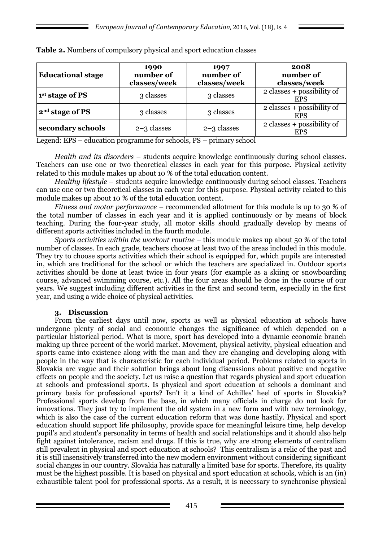| <b>Educational stage</b>    | 1990<br>number of<br>classes/week | 1997<br>number of<br>classes/week | 2008<br>number of<br>classes/week          |
|-----------------------------|-----------------------------------|-----------------------------------|--------------------------------------------|
| 1 <sup>st</sup> stage of PS | 3 classes                         | 3 classes                         | $2$ classes + possibility of<br><b>EPS</b> |
| 2 <sup>nd</sup> stage of PS | 3 classes                         | 3 classes                         | 2 classes + possibility of<br><b>EPS</b>   |
| secondary schools           | $2-3$ classes                     | $2-3$ classes                     | 2 classes + possibility of<br><b>EPS</b>   |

**Table 2.** Numbers of compulsory physical and sport education classes

Legend: EPS – education programme for schools, PS – primary school

*Health and its disorders* – students acquire knowledge continuously during school classes. Teachers can use one or two theoretical classes in each year for this purpose. Physical activity related to this module makes up about 10 % of the total education content.

*Healthy lifestyle* – students acquire knowledge continuously during school classes. Teachers can use one or two theoretical classes in each year for this purpose. Physical activity related to this module makes up about 10 % of the total education content.

*Fitness and motor performance* – recommended allotment for this module is up to 30 % of the total number of classes in each year and it is applied continuously or by means of block teaching. During the four-year study, all motor skills should gradually develop by means of different sports activities included in the fourth module.

*Sports activities within the workout routine* – this module makes up about 50 % of the total number of classes. In each grade, teachers choose at least two of the areas included in this module. They try to choose sports activities which their school is equipped for, which pupils are interested in, which are traditional for the school or which the teachers are specialized in. Outdoor sports activities should be done at least twice in four years (for example as a skiing or snowboarding course, advanced swimming course, etc.). All the four areas should be done in the course of our years. We suggest including different activities in the first and second term, especially in the first year, and using a wide choice of physical activities.

### **3. Discussion**

From the earliest days until now, sports as well as physical education at schools have undergone plenty of social and economic changes the significance of which depended on a particular historical period. What is more, sport has developed into a dynamic economic branch making up three percent of the world market. Movement, physical activity, physical education and sports came into existence along with the man and they are changing and developing along with people in the way that is characteristic for each individual period. Problems related to sports in Slovakia are vague and their solution brings about long discussions about positive and negative effects on people and the society. Let us raise a question that regards physical and sport education at schools and professional sports. Is physical and sport education at schools a dominant and primary basis for professional sports? Isn't it a kind of Achilles' heel of sports in Slovakia? Professional sports develop from the base, in which many officials in charge do not look for innovations. They just try to implement the old system in a new form and with new terminology, which is also the case of the current education reform that was done hastily. Physical and sport education should support life philosophy, provide space for meaningful leisure time, help develop pupil's and student's personality in terms of health and social relationships and it should also help fight against intolerance, racism and drugs. If this is true, why are strong elements of centralism still prevalent in physical and sport education at schools? This centralism is a relic of the past and it is still insensitively transferred into the new modern environment without considering significant social changes in our country. Slovakia has naturally a limited base for sports. Therefore, its quality must be the highest possible. It is based on physical and sport education at schools, which is an (in) exhaustible talent pool for professional sports. As a result, it is necessary to synchronise physical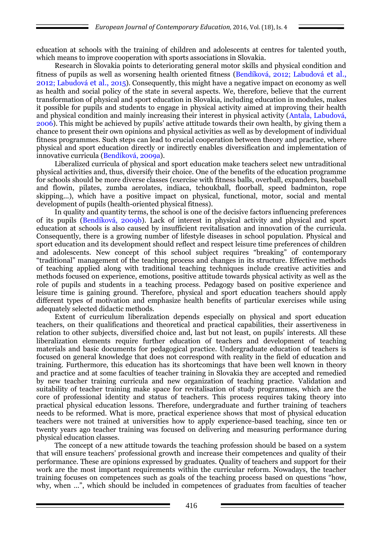education at schools with the training of children and adolescents at centres for talented youth, which means to improve cooperation with sports associations in Slovakia.

Research in Slovakia points to deteriorating general motor skills and physical condition and fitness of pupils as well as worsening health oriented fitness (Bendíková, 2012; Labudová et al., 2012; Labudová et al., 2015). Consequently, this might have a negative impact on economy as well as health and social policy of the state in several aspects. We, therefore, believe that the current transformation of physical and sport education in Slovakia, including education in modules, makes it possible for pupils and students to engage in physical activity aimed at improving their health and physical condition and mainly increasing their interest in physical activity (Antala, Labudová, 2006). This might be achieved by pupils' active attitude towards their own health, by giving them a chance to present their own opinions and physical activities as well as by development of individual fitness programmes. Such steps can lead to crucial cooperation between theory and practice, where physical and sport education directly or indirectly enables diversification and implementation of innovative curricula (Bendíková, 2009a).

Liberalized curricula of physical and sport education make teachers select new untraditional physical activities and, thus, diversify their choice. One of the benefits of the education programme for schools should be more diverse classes (exercise with fitness balls, overball, expanders, baseball and flowin, pilates, zumba aerolates, indiaca, tchoukball, floorball, speed badminton, rope skipping...), which have a positive impact on physical, functional, motor, social and mental development of pupils (health-oriented physical fitness).

In quality and quantity terms, the school is one of the decisive factors influencing preferences of its pupils (Bendíková, 2009b). Lack of interest in physical activity and physical and sport education at schools is also caused by insufficient revitalisation and innovation of the curricula. Consequently, there is a growing number of lifestyle diseases in school population. Physical and sport education and its development should reflect and respect leisure time preferences of children and adolescents. New concept of this school subject requires "breaking" of contemporary "traditional" management of the teaching process and changes in its structure. Effective methods of teaching applied along with traditional teaching techniques include creative activities and methods focused on experience, emotions, positive attitude towards physical activity as well as the role of pupils and students in a teaching process. Pedagogy based on positive experience and leisure time is gaining ground. Therefore, physical and sport education teachers should apply different types of motivation and emphasize health benefits of particular exercises while using adequately selected didactic methods.

Extent of curriculum liberalization depends especially on physical and sport education teachers, on their qualifications and theoretical and practical capabilities, their assertiveness in relation to other subjects, diversified choice and, last but not least, on pupils' interests. All these liberalization elements require further education of teachers and development of teaching materials and basic documents for pedagogical practice. Undergraduate education of teachers is focused on general knowledge that does not correspond with reality in the field of education and training. Furthermore, this education has its shortcomings that have been well known in theory and practice and at some faculties of teacher training in Slovakia they are accepted and remedied by new teacher training curricula and new organization of teaching practice. Validation and suitability of teacher training make space for revitalisation of study programmes, which are the core of professional identity and status of teachers. This process requires taking theory into practical physical education lessons. Therefore, undergraduate and further training of teachers needs to be reformed. What is more, practical experience shows that most of physical education teachers were not trained at universities how to apply experience-based teaching, since ten or twenty years ago teacher training was focused on delivering and measuring performance during physical education classes.

The concept of a new attitude towards the teaching profession should be based on a system that will ensure teachers' professional growth and increase their competences and quality of their performance. These are opinions expressed by graduates. Quality of teachers and support for their work are the most important requirements within the curricular reform. Nowadays, the teacher training focuses on competences such as goals of the teaching process based on questions "how, why, when …", which should be included in competences of graduates from faculties of teacher